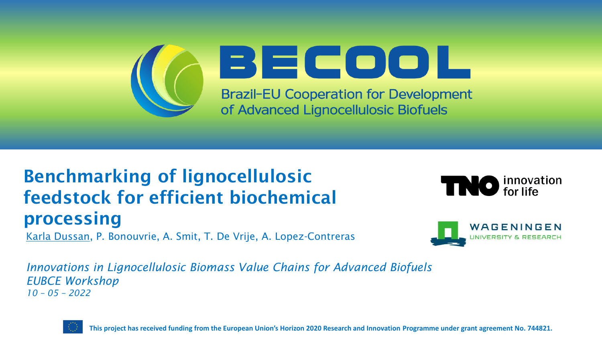

### Benchmarking of lignocellulosic feedstock for efficient biochemical processing

Karla Dussan, P. Bonouvrie, A. Smit, T. De Vrije, A. Lopez-Contreras





*Innovations in Lignocellulosic Biomass Value Chains for Advanced Biofuels EUBCE Workshop 10 – 05 – 2022*



**This project has received funding from the European Union's Horizon 2020 Research and Innovation Programme under grant agreement No. 744821.**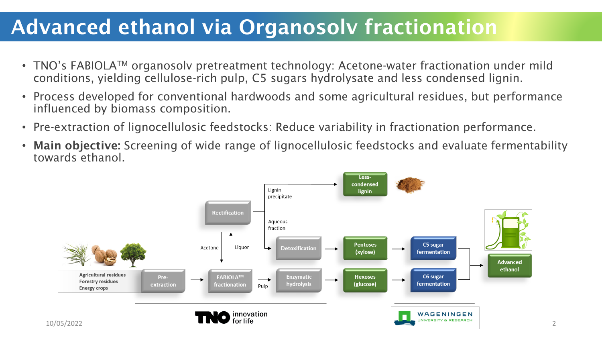## Advanced ethanol via Organosolv fractionation

- TNO's FABIOLA<sup>TM</sup> organosolv pretreatment technology: Acetone-water fractionation under mild conditions, yielding cellulose-rich pulp, C5 sugars hydrolysate and less condensed lignin.
- Process developed for conventional hardwoods and some agricultural residues, but performance influenced by biomass composition.
- Pre-extraction of lignocellulosic feedstocks: Reduce variability in fractionation performance.
- Main objective: Screening of wide range of lignocellulosic feedstocks and evaluate fermentability towards ethanol.

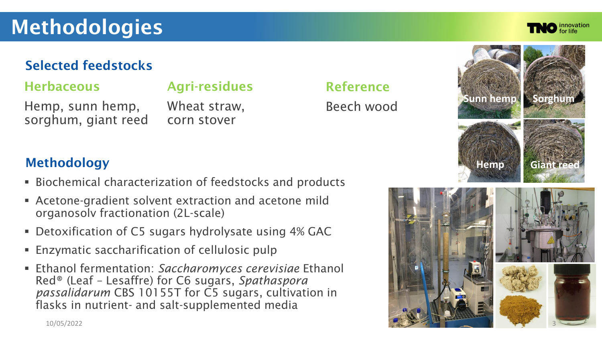# **Methodologies**

#### Selected feedstocks

#### **Herbaceous**

### Agri-residues

Hemp, sunn hemp, sorghum, giant reed

Wheat straw, corn stover

### Methodology

- Biochemical characterization of feedstocks and products
- **EXECTE:** Acetone-gradient solvent extraction and acetone mild organosolv fractionation (2L-scale)
- Detoxification of C5 sugars hydrolysate using 4% GAC
- Enzymatic saccharification of cellulosic pulp
- Ethanol fermentation: Saccharomyces cerevisiae Ethanol Red® (Leaf – Lesaffre) for C6 sugars, *Spathaspora passalidarum* CBS 10155T for C5 sugars, cultivation in flasks in nutrient- and salt-supplemented media

#### Reference

Beech wood



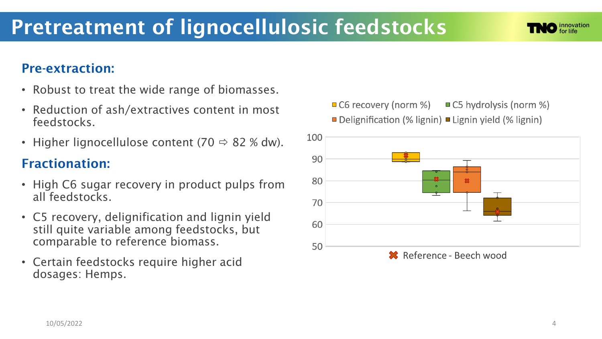#### Pre-extraction:

- Robust to treat the wide range of biomasses.
- Reduction of ash/extractives content in most feedstocks.
- Higher lignocellulose content (70  $\Rightarrow$  82 % dw).

### Fractionation:

- High C6 sugar recovery in product pulps from all feedstocks.
- C5 recovery, delignification and lignin yield still quite variable among feedstocks, but comparable to reference biomass.
- Certain feedstocks require higher acid dosages: Hemps.
- $\Box$  C6 recovery (norm %)  $\Box$  C5 hydrolysis (norm %)
- □ Delignification (% lignin) Lignin yield (% lignin)



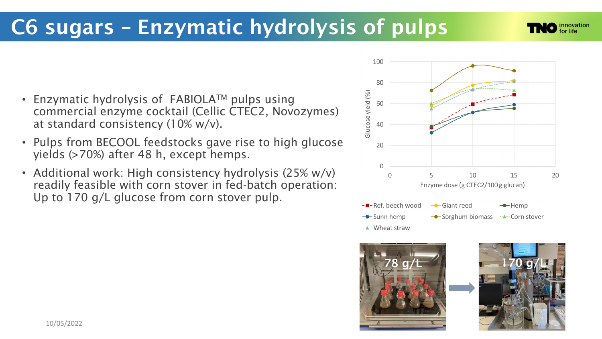## C6 sugars – Enzymatic hydrolysis of pulps

- Enzymatic hydrolysis of  $FABIOLA<sup>TM</sup>$  pulps using commercial enzyme cocktail (Cellic CTEC2, Novozymes) at standard consistency (10% w/v).
- Pulps from BECOOL feedstocks gave rise to high glucose yields (>70%) after 48 h, except hemps.
- Additional work: High consistency hydrolysis (25% w/v) readily feasible with corn stover in fed-batch operation: Up to 170 g/L glucose from corn stover pulp.





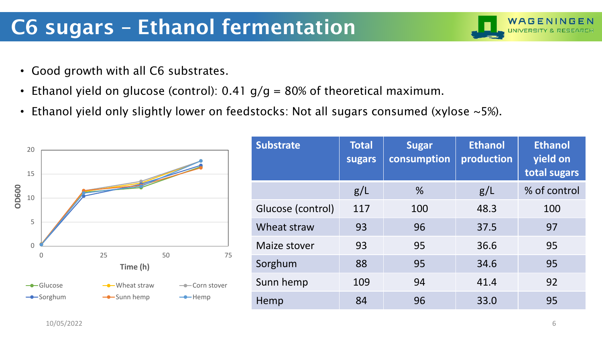# C6 sugars – Ethanol fermentation

- Good growth with all C6 substrates.
- Ethanol yield on glucose (control): 0.41  $g/g = 80\%$  of theoretical maximum.
- Ethanol yield only slightly lower on feedstocks: Not all sugars consumed (xylose ~5%).



| <b>Substrate</b>  | <b>Total</b><br>sugars | <b>Sugar</b><br>consumption | <b>Ethanol</b><br>production | <b>Ethanol</b><br>yield on<br>total sugars |
|-------------------|------------------------|-----------------------------|------------------------------|--------------------------------------------|
|                   | g/L                    | $\%$                        | g/L                          | % of control                               |
| Glucose (control) | 117                    | 100                         | 48.3                         | 100                                        |
| Wheat straw       | 93                     | 96                          | 37.5                         | 97                                         |
| Maize stover      | 93                     | 95                          | 36.6                         | 95                                         |
| Sorghum           | 88                     | 95                          | 34.6                         | 95                                         |
| Sunn hemp         | 109                    | 94                          | 41.4                         | 92                                         |
| Hemp              | 84                     | 96                          | 33.0                         | 95                                         |

WAGENINGEN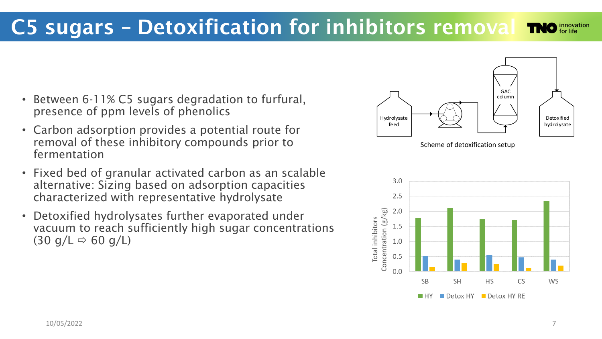- Between 6-11% C5 sugars degradation to furfural, presence of ppm levels of phenolics
- Carbon adsorption provides a potential route for removal of these inhibitory compounds prior to fermentation
- Fixed bed of granular activated carbon as an scalable alternative: Sizing based on adsorption capacities characterized with representative hydrolysate
- Detoxified hydrolysates further evaporated under vacuum to reach sufficiently high sugar concentrations  $(30 \text{ g/L} \Rightarrow 60 \text{ g/L})$



Scheme of detoxification setup

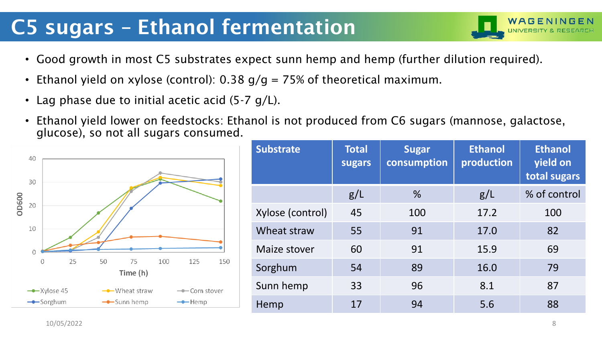# C5 sugars – Ethanol fermentation

- Good growth in most C5 substrates expect sunn hemp and hemp (further dilution required).
- Ethanol yield on xylose (control): 0.38  $g/g = 75%$  of theoretical maximum.
- Lag phase due to initial acetic acid  $(5-7 g/L)$ .
- Ethanol yield lower on feedstocks: Ethanol is not produced from C6 sugars (mannose, galactose, glucose), so not all sugars consumed.



| <b>Substrate</b> | <b>Total</b><br>sugars | <b>Sugar</b><br>consumption | <b>Ethanol</b><br>production | <b>Ethanol</b><br>yield on<br>total sugars |
|------------------|------------------------|-----------------------------|------------------------------|--------------------------------------------|
|                  | g/L                    | $\%$                        | g/L                          | % of control                               |
| Xylose (control) | 45                     | 100                         | 17.2                         | 100                                        |
| Wheat straw      | 55                     | 91                          | 17.0                         | 82                                         |
| Maize stover     | 60                     | 91                          | 15.9                         | 69                                         |
| Sorghum          | 54                     | 89                          | 16.0                         | 79                                         |
| Sunn hemp        | 33                     | 96                          | 8.1                          | 87                                         |
| Hemp             | 17                     | 94                          | 5.6                          | 88                                         |

WAGENIN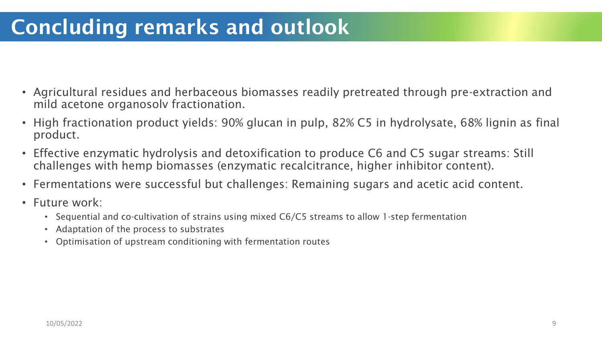# Concluding remarks and outlook

- Agricultural residues and herbaceous biomasses readily pretreated through pre-extraction and mild acetone organosolv fractionation.
- High fractionation product yields: 90% glucan in pulp, 82% C5 in hydrolysate, 68% lignin as final product.
- Effective enzymatic hydrolysis and detoxification to produce C6 and C5 sugar streams: Still challenges with hemp biomasses (enzymatic recalcitrance, higher inhibitor content).
- Fermentations were successful but challenges: Remaining sugars and acetic acid content.
- Future work:
	- Sequential and co-cultivation of strains using mixed C6/C5 streams to allow 1-step fermentation
	- Adaptation of the process to substrates
	- Optimisation of upstream conditioning with fermentation routes